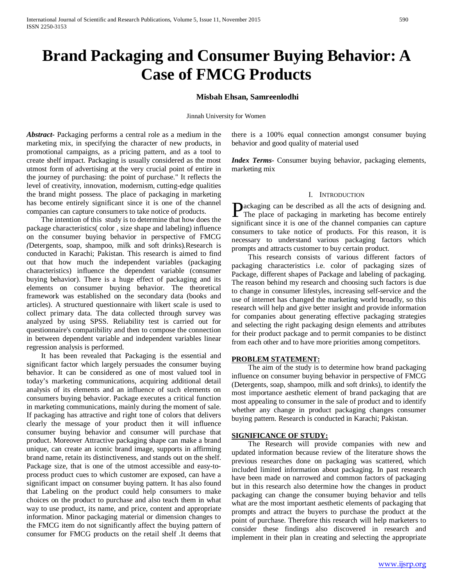# **Brand Packaging and Consumer Buying Behavior: A Case of FMCG Products**

## **Misbah Ehsan, Samreenlodhi**

Jinnah University for Women

*Abstract***-** Packaging performs a central role as a medium in the marketing mix, in specifying the character of new products, in promotional campaigns, as a pricing pattern, and as a tool to create shelf impact. Packaging is usually considered as the most utmost form of advertising at the very crucial point of entire in the journey of purchasing: the point of purchase." It reflects the level of creativity, innovation, modernism, cutting-edge qualities the brand might possess. The place of packaging in marketing has become entirely significant since it is one of the channel companies can capture consumers to take notice of products.

 The intention of this study is to determine that how does the package characteristics( color , size shape and labeling) influence on the consumer buying behavior in perspective of FMCG *(*Detergents, soap, shampoo, milk and soft drinks)*.*Research is conducted in Karachi; Pakistan. This research is aimed to find out that how much the independent variables (packaging characteristics) influence the dependent variable (consumer buying behavior). There is a huge effect of packaging and its elements on consumer buying behavior. The theoretical framework was established on the secondary data (books and articles). A structured questionnaire with likert scale is used to collect primary data. The data collected through survey was analyzed by using SPSS. Reliability test is carried out for questionnaire's compatibility and then to compose the connection in between dependent variable and independent variables linear regression analysis is performed.

 It has been revealed that Packaging is the essential and significant factor which largely persuades the consumer buying behavior. It can be considered as one of most valued tool in today's marketing communications, acquiring additional detail analysis of its elements and an influence of such elements on consumers buying behavior. Package executes a critical function in marketing communications, mainly during the moment of sale. If packaging has attractive and right tone of colors that delivers clearly the message of your product then it will influence consumer buying behavior and consumer will purchase that product. Moreover Attractive packaging shape can make a brand unique, can create an iconic brand image, supports in affirming brand name, retain its distinctiveness, and stands out on the shelf. Package size, that is one of the utmost accessible and easy-toprocess product cues to which customer are exposed, can have a significant impact on consumer buying pattern. It has also found that Labeling on the product could help consumers to make choices on the product to purchase and also teach them in what way to use product, its name, and price, content and appropriate information. Minor packaging material or dimension changes to the FMCG item do not significantly affect the buying pattern of consumer for FMCG products on the retail shelf .It deems that there is a 100% equal connection amongst consumer buying behavior and good quality of material used

*Index Terms*- Consumer buying behavior, packaging elements, marketing mix

#### I. INTRODUCTION

ackaging can be described as all the acts of designing and. **Packaging can be described as all the acts of designing and.**<br>The place of packaging in marketing has become entirely significant since it is one of the channel companies can capture consumers to take notice of products. For this reason, it is necessary to understand various packaging factors which prompts and attracts customer to buy certain product.

 This research consists of various different factors of packaging characteristics i.e. color of packaging sizes of Package, different shapes of Package and labeling of packaging. The reason behind my research and choosing such factors is due to change in consumer lifestyles, increasing self-service and the use of internet has changed the marketing world broadly, so this research will help and give better insight and provide information for companies about generating effective packaging strategies and selecting the right packaging design elements and attributes for their product package and to permit companies to be distinct from each other and to have more priorities among competitors.

#### **PROBLEM STATEMENT:**

 The aim of the study is to determine how brand packaging influence on consumer buying behavior in perspective of FMCG (Detergents, soap, shampoo, milk and soft drinks), to identify the most importance aesthetic element of brand packaging that are most appealing to consumer in the sale of product and to identify whether any change in product packaging changes consumer buying pattern. Research is conducted in Karachi; Pakistan.

#### **SIGNIFICANCE OF STUDY:**

 The Research will provide companies with new and updated information because review of the literature shows the previous researches done on packaging was scattered, which included limited information about packaging. In past research have been made on narrowed and common factors of packaging but in this research also determine how the changes in product packaging can change the consumer buying behavior and tells what are the most important aesthetic elements of packaging that prompts and attract the buyers to purchase the product at the point of purchase. Therefore this research will help marketers to consider these findings also discovered in research and implement in their plan in creating and selecting the appropriate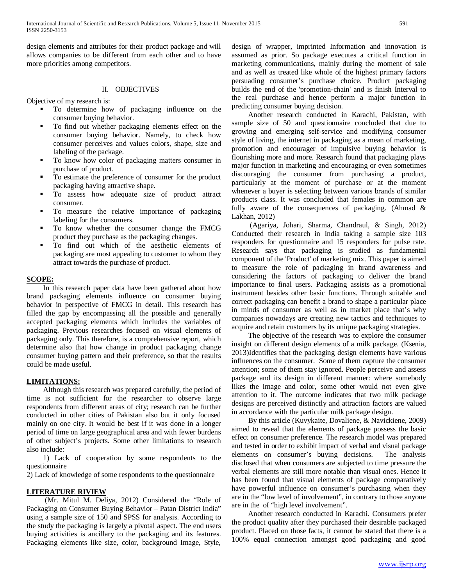design elements and attributes for their product package and will allows companies to be different from each other and to have more priorities among competitors.

# II. OBJECTIVES

Objective of my research is:

- To determine how of packaging influence on the consumer buying behavior.
- To find out whether packaging elements effect on the consumer buying behavior. Namely, to check how consumer perceives and values colors, shape, size and labeling of the package.
- To know how color of packaging matters consumer in purchase of product.
- To estimate the preference of consumer for the product packaging having attractive shape.
- To assess how adequate size of product attract consumer.
- To measure the relative importance of packaging labeling for the consumers.
- To know whether the consumer change the FMCG product they purchase as the packaging changes.
- To find out which of the aesthetic elements of packaging are most appealing to customer to whom they attract towards the purchase of product.

#### **SCOPE:**

 In this research paper data have been gathered about how brand packaging elements influence on consumer buying behavior in perspective of FMCG in detail. This research has filled the gap by encompassing all the possible and generally accepted packaging elements which includes the variables of packaging. Previous researches focused on visual elements of packaging only. This therefore, is a comprehensive report, which determine also that how change in product packaging change consumer buying pattern and their preference, so that the results could be made useful.

# **LIMITATIONS:**

 Although this research was prepared carefully, the period of time is not sufficient for the researcher to observe large respondents from different areas of city; research can be further conducted in other cities of Pakistan also but it only focused mainly on one city. It would be best if it was done in a longer period of time on large geographical area and with fewer burdens of other subject's projects. Some other limitations to research also include:

 1) Lack of cooperation by some respondents to the questionnaire

2) Lack of knowledge of some respondents to the questionnaire

#### **LITERATURE RIVIEW**

 (Mr. Mitul M. Deliya, 2012) Considered the "Role of Packaging on Consumer Buying Behavior – Patan District India" using a sample size of 150 and SPSS for analysis. According to the study the packaging is largely a pivotal aspect. The end users buying activities is ancillary to the packaging and its features. Packaging elements like size, color, background Image, Style,

design of wrapper, imprinted Information and innovation is assumed as prior. So package executes a critical function in marketing communications, mainly during the moment of sale and as well as treated like whole of the highest primary factors persuading consumer's purchase choice. Product packaging builds the end of the 'promotion-chain' and is finish Interval to the real purchase and hence perform a major function in predicting consumer buying decision.

 Another research conducted in Karachi, Pakistan, with sample size of 50 and questionnaire concluded that due to growing and emerging self-service and modifying consumer style of living, the internet in packaging as a mean of marketing, promotion and encourager of impulsive buying behavior is flourishing more and more. Research found that packaging plays major function in marketing and encouraging or even sometimes discouraging the consumer from purchasing a product, particularly at the moment of purchase or at the moment whenever a buyer is selecting between various brands of similar products class. It was concluded that females in common are fully aware of the consequences of packaging. (Ahmad & Lakhan, 2012)

 (Agariya, Johari, Sharma, Chandraul, & Singh, 2012) Conducted their research in India taking a sample size 103 responders for questionnaire and 15 responders for pulse rate. Research says that packaging is studied as fundamental component of the 'Product' of marketing mix. This paper is aimed to measure the role of packaging in brand awareness and considering the factors of packaging to deliver the brand importance to final users. Packaging assists as a promotional instrument besides other basic functions. Through suitable and correct packaging can benefit a brand to shape a particular place in minds of consumer as well as in market place that's why companies nowadays are creating new tactics and techniques to acquire and retain customers by its unique packaging strategies.

 The objective of the research was to explore the consumer insight on different design elements of a milk package. (Ksenia, 2013)Identifies that the packaging design elements have various influences on the consumer. Some of them capture the consumer attention; some of them stay ignored. People perceive and assess package and its design in different manner: where somebody likes the image and color, some other would not even give attention to it. The outcome indicates that two milk package designs are perceived distinctly and attraction factors are valued in accordance with the particular milk package design.

 By this article (Kuvykaite, Dovaliene, & Navickiene, 2009) aimed to reveal that the elements of package possess the basic effect on consumer preference. The research model was prepared and tested in order to exhibit impact of verbal and visual package elements on consumer's buying decisions. The analysis disclosed that when consumers are subjected to time pressure the verbal elements are still more notable than visual ones. Hence it has been found that visual elements of package comparatively have powerful influence on consumer's purchasing when they are in the "low level of involvement", in contrary to those anyone are in the of "high level involvement".

 Another research conducted in Karachi. Consumers prefer the product quality after they purchased their desirable packaged product. Placed on those facts, it cannot be stated that there is a 100% equal connection amongst good packaging and good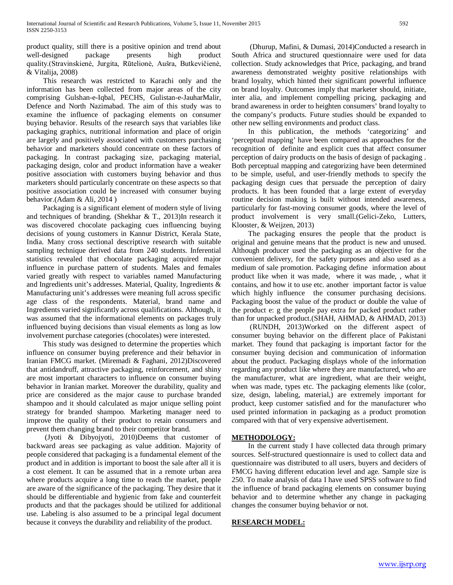product quality, still there is a positive opinion and trend about well-designed package presents high product quality.(Stravinskienė, Jurgita, Rūtelionė, Aušra, Butkevičienė, & Vitalija, 2008)

 This research was restricted to Karachi only and the information has been collected from major areas of the city comprising Gulshan-e-Iqbal, PECHS, Gulistan-e-JauharMalir, Defence and North Nazimabad. The aim of this study was to examine the influence of packaging elements on consumer buying behavior. Results of the research says that variables like packaging graphics, nutritional information and place of origin are largely and positively associated with customers purchasing behavior and marketers should concentrate on these factors of packaging. In contrast packaging size, packaging material, packaging design, color and product information have a weaker positive association with customers buying behavior and thus marketers should particularly concentrate on these aspects so that positive association could be increased with consumer buying behavior.(Adam & Ali, 2014 )

 Packaging is a significant element of modern style of living and techniques of branding. (Shekhar & T., 2013)In research it was discovered chocolate packaging cues influencing buying decisions of young customers in Kannur District, Kerala State, India. Many cross sectional descriptive research with suitable sampling technique derived data from 240 students. Inferential statistics revealed that chocolate packaging acquired major influence in purchase pattern of students. Males and females varied greatly with respect to variables named Manufacturing and Ingredients unit's addresses. Material, Quality, Ingredients & Manufacturing unit's addresses were meaning full across specific age class of the respondents. Material, brand name and Ingredients varied significantly across qualifications. Although, it was assumed that the informational elements on packages truly influenced buying decisions than visual elements as long as low involvement purchase categories (chocolates) were interested.

 This study was designed to determine the properties which influence on consumer buying preference and their behavior in Iranian FMCG market. (Miremadi & Faghani, 2012)Discovered that antidandruff, attractive packaging, reinforcement, and shiny are most important characters to influence on consumer buying behavior in Iranian market. Moreover the durability, quality and price are considered as the major cause to purchase branded shampoo and it should calculated as major unique selling point strategy for branded shampoo. Marketing manager need to improve the quality of their product to retain consumers and prevent them changing brand to their competitor brand.

 (Jyoti & Dibyojyoti, 2010)Deems that customer of backward areas see packaging as value addition. Majority of people considered that packaging is a fundamental element of the product and in addition is important to boost the sale after all it is a cost element. It can be assumed that in a remote urban area where products acquire a long time to reach the market, people are aware of the significance of the packaging. They desire that it should be differentiable and hygienic from fake and counterfeit products and that the packages should be utilized for additional use. Labeling is also assumed to be a principal legal document because it conveys the durability and reliability of the product.

 (Dhurup, Mafini, & Dumasi, 2014)Conducted a research in South Africa and structured questionnaire were used for data collection. Study acknowledges that Price, packaging, and brand awareness demonstrated weighty positive relationships with brand loyalty, which hinted their significant powerful influence on brand loyalty. Outcomes imply that marketer should, initiate, inter alia, and implement compelling pricing, packaging and brand awareness in order to heighten consumers' brand loyalty to the company's products. Future studies should be expanded to other new selling environments and product class.

 In this publication, the methods 'categorizing' and 'perceptual mapping' have been compared as approaches for the recognition of definite and explicit cues that affect consumer perception of dairy products on the basis of design of packaging . Both perceptual mapping and categorizing have been determined to be simple, useful, and user-friendly methods to specify the packaging design cues that persuade the perception of dairy products. It has been founded that a large extent of everyday routine decision making is built without intended awareness, particularly for fast-moving consumer goods, where the level of product involvement is very small.(Gelici-Zeko, Lutters, Klooster, & Weijzen, 2013)

 The packaging ensures the people that the product is original and genuine means that the product is new and unused. Although producer used the packaging as an objective for the convenient delivery, for the safety purposes and also used as a medium of sale promotion. Packaging define information about product like when it was made, where it was made, , what it contains, and how it to use etc. another important factor is value which highly influence the consumer purchasing decisions. Packaging boost the value of the product or double the value of the product e: g the people pay extra for packed product rather than for unpacked product.(SHAH, AHMAD, & AHMAD, 2013)

 (RUNDH, 2013)Worked on the different aspect of consumer buying behavior on the different place of Pakistani market. They found that packaging is important factor for the consumer buying decision and communication of information about the product. Packaging displays whole of the information regarding any product like where they are manufactured, who are the manufacturer, what are ingredient, what are their weight, when was made, types etc. The packaging elements like (color, size, design, labeling, material,) are extremely important for product, keep customer satisfied and for the manufacturer who used printed information in packaging as a product promotion compared with that of very expensive advertisement.

# **METHODOLOGY:**

 In the current study I have collected data through primary sources. Self-structured questionnaire is used to collect data and questionnaire was distributed to all users, buyers and deciders of FMCG having different education level and age. Sample size is 250. To make analysis of data I have used SPSS software to find the influence of brand packaging elements on consumer buying behavior and to determine whether any change in packaging changes the consumer buying behavior or not.

#### **RESEARCH MODEL:**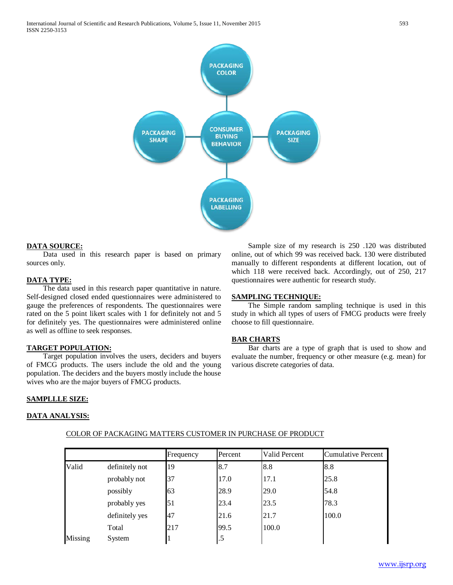International Journal of Scientific and Research Publications, Volume 5, Issue 11, November 2015 593 ISSN 2250-3153



#### **DATA SOURCE:**

 Data used in this research paper is based on primary sources only.

#### **DATA TYPE:**

 The data used in this research paper quantitative in nature. Self-designed closed ended questionnaires were administered to gauge the preferences of respondents. The questionnaires were rated on the 5 point likert scales with 1 for definitely not and 5 for definitely yes. The questionnaires were administered online as well as offline to seek responses.

# **TARGET POPULATION:**

 Target population involves the users, deciders and buyers of FMCG products. The users include the old and the young population. The deciders and the buyers mostly include the house wives who are the major buyers of FMCG products.

 Sample size of my research is 250 .120 was distributed online, out of which 99 was received back. 130 were distributed manually to different respondents at different location, out of which 118 were received back. Accordingly, out of 250, 217 questionnaires were authentic for research study.

# **SAMPLING TECHNIQUE:**

 The Simple random sampling technique is used in this study in which all types of users of FMCG products were freely choose to fill questionnaire.

#### **BAR CHARTS**

 Bar charts are a type of graph that is used to show and evaluate the number, frequency or other measure (e.g. mean) for various discrete categories of data.

#### **SAMPLLLE SIZE:**

#### **DATA ANALYSIS:**

|         |                | Frequency | Percent | Valid Percent | Cumulative Percent |
|---------|----------------|-----------|---------|---------------|--------------------|
| Valid   | definitely not | 19        | 8.7     | 8.8           | 8.8                |
|         | probably not   | 37        | 17.0    | 17.1          | 25.8               |
|         | possibly       | 63        | 28.9    | 29.0          | 54.8               |
|         | probably yes   | 51        | 23.4    | 23.5          | 78.3               |
|         | definitely yes | 47        | 21.6    | 21.7          | 100.0              |
|         | Total          | 217       | 99.5    | 100.0         |                    |
| Missing | System         |           | .5      |               |                    |

#### COLOR OF PACKAGING MATTERS CUSTOMER IN PURCHASE OF PRODUCT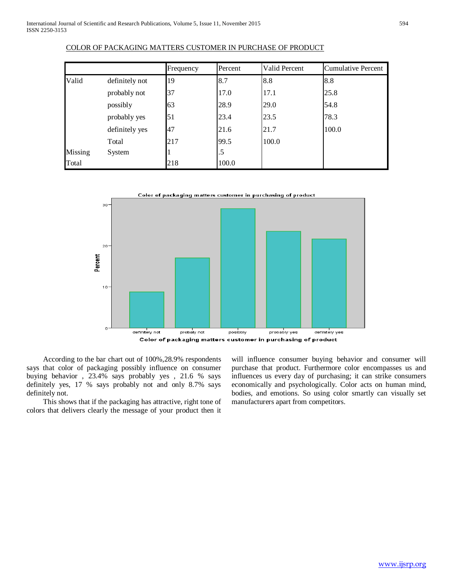|         |                | Frequency | Percent | Valid Percent | Cumulative Percent |
|---------|----------------|-----------|---------|---------------|--------------------|
| Valid   | definitely not | 19        | 8.7     | 8.8           | 8.8                |
|         | probably not   | 37        | 17.0    | 17.1          | 25.8               |
|         | possibly       | 63        | 28.9    | 29.0          | 54.8               |
|         | probably yes   | 51        | 23.4    | 23.5          | 78.3               |
|         | definitely yes | 47        | 21.6    | 21.7          | 100.0              |
|         | Total          | 217       | 99.5    | 100.0         |                    |
| Missing | System         |           | .5      |               |                    |
| Total   |                | 218       | 100.0   |               |                    |

# COLOR OF PACKAGING MATTERS CUSTOMER IN PURCHASE OF PRODUCT



 According to the bar chart out of 100%,28.9% respondents says that color of packaging possibly influence on consumer buying behavior , 23.4% says probably yes , 21.6 % says definitely yes, 17 % says probably not and only 8.7% says definitely not.

 This shows that if the packaging has attractive, right tone of colors that delivers clearly the message of your product then it will influence consumer buying behavior and consumer will purchase that product. Furthermore color encompasses us and influences us every day of purchasing; it can strike consumers economically and psychologically. Color acts on human mind, bodies, and emotions. So using color smartly can visually set manufacturers apart from competitors.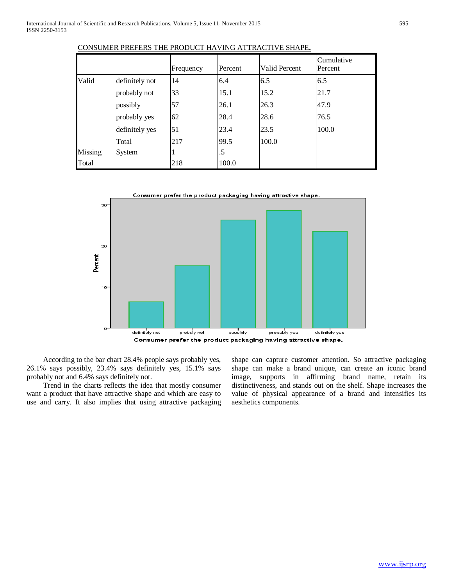|         |                | Frequency | Percent | <b>Valid Percent</b> | Cumulative<br>Percent |
|---------|----------------|-----------|---------|----------------------|-----------------------|
| Valid   | definitely not | 14        | 6.4     | 6.5                  | 6.5                   |
|         | probably not   | 33        | 15.1    | 15.2                 | 21.7                  |
|         | possibly       | 57        | 26.1    | 26.3                 | 47.9                  |
|         | probably yes   | 62        | 28.4    | 28.6                 | 76.5                  |
|         | definitely yes | 51        | 23.4    | 23.5                 | 100.0                 |
|         | Total          | 217       | 99.5    | 100.0                |                       |
| Missing | System         |           | .5      |                      |                       |
| Total   |                | 218       | 100.0   |                      |                       |





 According to the bar chart 28.4% people says probably yes, 26.1% says possibly, 23.4% says definitely yes, 15.1% says probably not and 6.4% says definitely not.

 Trend in the charts reflects the idea that mostly consumer want a product that have attractive shape and which are easy to use and carry. It also implies that using attractive packaging shape can capture customer attention. So attractive packaging shape can make a brand unique, can create an iconic brand image, supports in affirming brand name, retain its distinctiveness, and stands out on the shelf. Shape increases the value of physical appearance of a brand and intensifies its aesthetics components.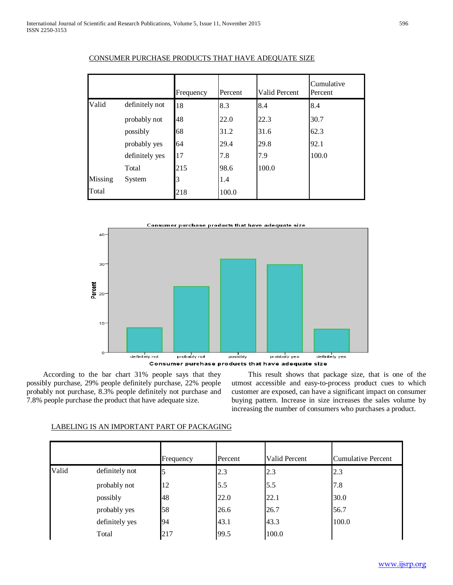|         |                | Frequency | Percent | <b>Valid Percent</b> | Cumulative<br>Percent |
|---------|----------------|-----------|---------|----------------------|-----------------------|
| Valid   | definitely not | 18        | 8.3     | 8.4                  | 8.4                   |
|         | probably not   | 48        | 22.0    | 22.3                 | 30.7                  |
|         | possibly       | 68        | 31.2    | 31.6                 | 62.3                  |
|         | probably yes   | 64        | 29.4    | 29.8                 | 92.1                  |
|         | definitely yes | 17        | 7.8     | 7.9                  | 100.0                 |
|         | Total          | 215       | 98.6    | 100.0                |                       |
| Missing | System         |           | 1.4     |                      |                       |
| Total   |                | 218       | 100.0   |                      |                       |

# CONSUMER PURCHASE PRODUCTS THAT HAVE ADEQUATE SIZE



 According to the bar chart 31% people says that they possibly purchase, 29% people definitely purchase, 22% people probably not purchase, 8.3% people definitely not purchase and 7.8% people purchase the product that have adequate size.

 This result shows that package size, that is one of the utmost accessible and easy-to-process product cues to which customer are exposed, can have a significant impact on consumer buying pattern. Increase in size increases the sales volume by increasing the number of consumers who purchases a product.

|       |                | Frequency | Percent | Valid Percent | Cumulative Percent |
|-------|----------------|-----------|---------|---------------|--------------------|
| Valid | definitely not |           | 2.3     | 2.3           | 2.3                |
|       | probably not   | 12        | 5.5     | 5.5           | 7.8                |
|       | possibly       | 48        | 22.0    | 22.1          | 30.0               |
|       | probably yes   | 58        | 26.6    | 26.7          | 56.7               |
|       | definitely yes | 94        | 43.1    | 43.3          | 100.0              |
|       | Total          | 217       | 99.5    | 100.0         |                    |

# LABELING IS AN IMPORTANT PART OF PACKAGING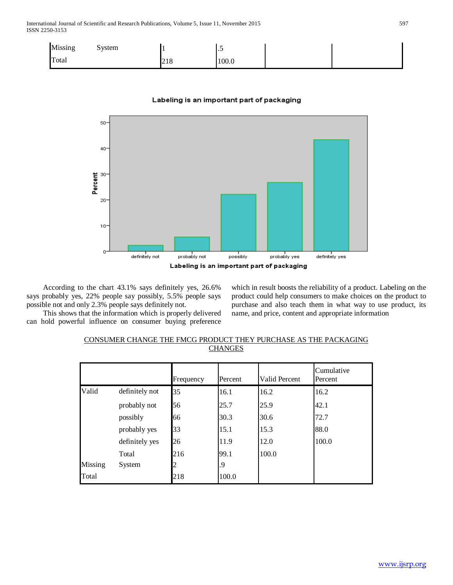| Missing | System |     | $\cdot$ $\cdot$ |  |
|---------|--------|-----|-----------------|--|
| Total   |        | 218 | 100.0           |  |

# Labeling is an important part of packaging



 According to the chart 43.1% says definitely yes, 26.6% says probably yes, 22% people say possibly, 5.5% people says possible not and only 2.3% people says definitely not.

 This shows that the information which is properly delivered can hold powerful influence on consumer buying preference which in result boosts the reliability of a product. Labeling on the product could help consumers to make choices on the product to purchase and also teach them in what way to use product, its name, and price, content and appropriate information

| CONSUMER CHANGE THE FMCG PRODUCT THEY PURCHASE AS THE PACKAGING |  |
|-----------------------------------------------------------------|--|
| <b>CHANGES</b>                                                  |  |

|         |                | Frequency | Percent | <b>Valid Percent</b> | Cumulative<br>Percent |
|---------|----------------|-----------|---------|----------------------|-----------------------|
| Valid   | definitely not | 35        | 16.1    | 16.2                 | 16.2                  |
|         | probably not   | 56        | 25.7    | 25.9                 | 42.1                  |
|         | possibly       | 66        | 30.3    | 30.6                 | 72.7                  |
|         | probably yes   | 33        | 15.1    | 15.3                 | 88.0                  |
|         | definitely yes | 26        | 11.9    | 12.0                 | 100.0                 |
|         | Total          | 216       | 99.1    | 100.0                |                       |
| Missing | System         |           | .9      |                      |                       |
| Total   |                | 218       | 100.0   |                      |                       |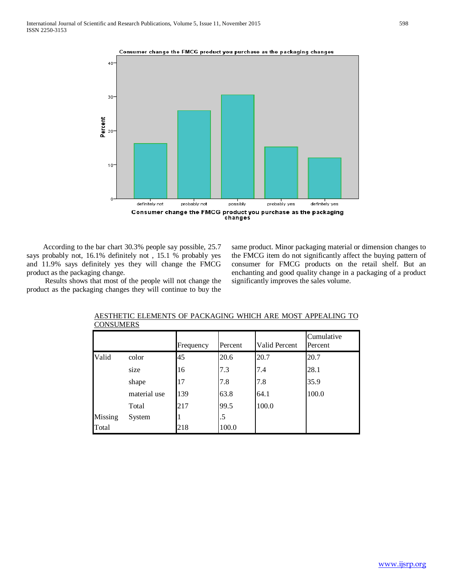#### Consumer change the FMCG product you purchase as the packaging changes



 According to the bar chart 30.3% people say possible, 25.7 says probably not, 16.1% definitely not , 15.1 % probably yes and 11.9% says definitely yes they will change the FMCG product as the packaging change.

 Results shows that most of the people will not change the product as the packaging changes they will continue to buy the same product. Minor packaging material or dimension changes to the FMCG item do not significantly affect the buying pattern of consumer for FMCG products on the retail shelf. But an enchanting and good quality change in a packaging of a product significantly improves the sales volume.

|         |              | Frequency | Percent | Valid Percent | Cumulative<br>Percent |
|---------|--------------|-----------|---------|---------------|-----------------------|
| Valid   | color        | 45        | 20.6    | 20.7          | 20.7                  |
|         | size         | 16        | 7.3     | 7.4           | 28.1                  |
|         | shape        | 17        | 7.8     | 7.8           | 35.9                  |
|         | material use | 139       | 63.8    | 64.1          | 100.0                 |
|         | Total        | 217       | 99.5    | 100.0         |                       |
| Missing | System       |           | .5      |               |                       |
| Total   |              | 218       | 100.0   |               |                       |

# AESTHETIC ELEMENTS OF PACKAGING WHICH ARE MOST APPEALING TO **CONSUMERS**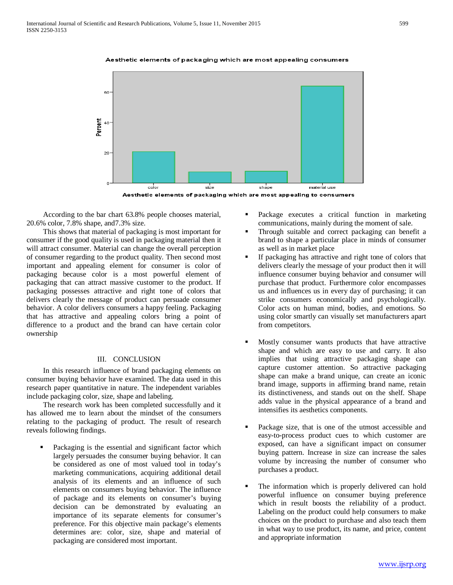

#### Aesthetic elements of packaging which are most appealing consumers



 According to the bar chart 63.8% people chooses material, 20.6% color, 7.8% shape, and7.3% size.

 This shows that material of packaging is most important for consumer if the good quality is used in packaging material then it will attract consumer. Material can change the overall perception of consumer regarding to the product quality. Then second most important and appealing element for consumer is color of packaging because color is a most powerful element of packaging that can attract massive customer to the product. If packaging possesses attractive and right tone of colors that delivers clearly the message of product can persuade consumer behavior. A color delivers consumers a happy feeling. Packaging that has attractive and appealing colors bring a point of difference to a product and the brand can have certain color ownership

# III. CONCLUSION

 In this research influence of brand packaging elements on consumer buying behavior have examined. The data used in this research paper quantitative in nature. The independent variables include packaging color, size, shape and labeling.

 The research work has been completed successfully and it has allowed me to learn about the mindset of the consumers relating to the packaging of product. The result of research reveals following findings.

 Packaging is the essential and significant factor which largely persuades the consumer buying behavior. It can be considered as one of most valued tool in today's marketing communications, acquiring additional detail analysis of its elements and an influence of such elements on consumers buying behavior. The influence of package and its elements on consumer's buying decision can be demonstrated by evaluating an importance of its separate elements for consumer's preference. For this objective main package's elements determines are: color, size, shape and material of packaging are considered most important.

- Package executes a critical function in marketing communications, mainly during the moment of sale.
- Through suitable and correct packaging can benefit a brand to shape a particular place in minds of consumer as well as in market place
- If packaging has attractive and right tone of colors that delivers clearly the message of your product then it will influence consumer buying behavior and consumer will purchase that product. Furthermore color encompasses us and influences us in every day of purchasing; it can strike consumers economically and psychologically. Color acts on human mind, bodies, and emotions. So using color smartly can visually set manufacturers apart from competitors.
- Mostly consumer wants products that have attractive shape and which are easy to use and carry. It also implies that using attractive packaging shape can capture customer attention. So attractive packaging shape can make a brand unique, can create an iconic brand image, supports in affirming brand name, retain its distinctiveness, and stands out on the shelf. Shape adds value in the physical appearance of a brand and intensifies its aesthetics components.
- Package size, that is one of the utmost accessible and easy-to-process product cues to which customer are exposed, can have a significant impact on consumer buying pattern. Increase in size can increase the sales volume by increasing the number of consumer who purchases a product.
- The information which is properly delivered can hold powerful influence on consumer buying preference which in result boosts the reliability of a product. Labeling on the product could help consumers to make choices on the product to purchase and also teach them in what way to use product, its name, and price, content and appropriate information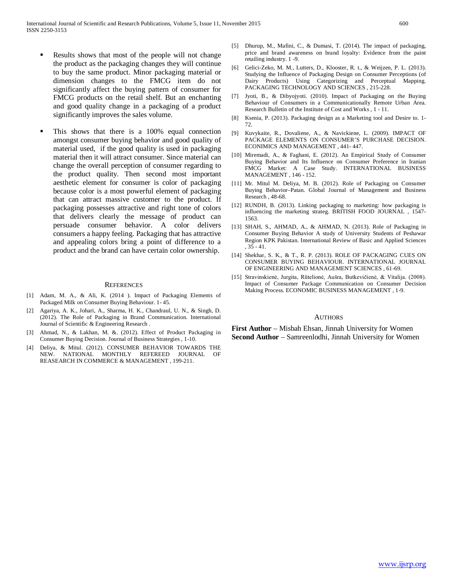- Results shows that most of the people will not change the product as the packaging changes they will continue to buy the same product. Minor packaging material or dimension changes to the FMCG item do not significantly affect the buying pattern of consumer for FMCG products on the retail shelf. But an enchanting and good quality change in a packaging of a product significantly improves the sales volume.
- This shows that there is a 100% equal connection amongst consumer buying behavior and good quality of material used, if the good quality is used in packaging material then it will attract consumer. Since material can change the overall perception of consumer regarding to the product quality. Then second most important aesthetic element for consumer is color of packaging because color is a most powerful element of packaging that can attract massive customer to the product. If packaging possesses attractive and right tone of colors that delivers clearly the message of product can persuade consumer behavior. A color delivers consumers a happy feeling. Packaging that has attractive and appealing colors bring a point of difference to a product and the brand can have certain color ownership.

#### **REFERENCES**

- [1] Adam, M. A., & Ali, K. (2014 ). Impact of Packaging Elements of Packaged Milk on Consumer Buying Behaviour. 1- 45.
- [2] Agariya, A. K., Johari, A., Sharma, H. K., Chandraul, U. N., & Singh, D. (2012). The Role of Packaging in Brand Communication. International Journal of Scientific & Engineering Research .
- [3] Ahmad, N., & Lakhan, M. &. (2012). Effect of Product Packaging in Consumer Buying Decision. Journal of Business Strategies , 1-10.
- [4] Deliya, & Mitul. (2012). CONSUMER BEHAVIOR TOWARDS THE NEW. NATIONAL MONTHLY REFEREED JOURNAL OF REASEARCH IN COMMERCE & MANAGEMENT , 199-211.
- [5] Dhurup, M., Mafini, C., & Dumasi, T. (2014). The impact of packaging, price and brand awareness on brand loyalty: Evidence from the paint retailing industry. 1 -9.
- [6] Gelici-Zeko, M. M., Lutters, D., Klooster, R. t., & Weijzen, P. L. (2013). Studying the Influence of Packaging Design on Consumer Perceptions (of Dairy Products) Using Categorizing and Perceptual Mapping. PACKAGING TECHNOLOGY AND SCIENCES , 215-228.
- [7] Jyoti, B., & Dibyojyoti. (2010). Impact of Packaging on the Buying Behaviour of Consumers in a Communicationally Remote Urban Area. Research Bulletin of the Institute of Cost and Works , 1 - 11.
- [8] Ksenia, P. (2013). Packaging design as a Marketing tool and Desire to. 1- 72.
- [9] Kuvykaite, R., Dovaliene, A., & Navickiene, L. (2009). IMPACT OF PACKAGE ELEMENTS ON CONSUMER'S PURCHASE DECISION. ECONIMICS AND MANAGEMENT , 441- 447.
- [10] Miremadi, A., & Faghani, E. (2012). An Empirical Study of Consumer Buying Behavior and Its Influence on Consumer Preference in Iranian FMCG Market: A Case Study. INTERNATIONAL BUSINESS MANAGEMENT , 146 - 152.
- [11] Mr. Mitul M. Deliya, M. B. (2012). Role of Packaging on Consumer Buying Behavior–Patan. Global Journal of Management and Business Research , 48-68.
- [12] RUNDH, B. (2013). Linking packaging to marketing: how packaging is influencing the marketing strateg. BRITISH FOOD JOURNAL , 1547- 1563.
- [13] SHAH, S., AHMAD, A., & AHMAD, N. (2013). Role of Packaging in Consumer Buying Behavior A study of University Students of Peshawar Region KPK Pakistan. International Review of Basic and Applied Sciences , 35 - 41.
- [14] Shekhar, S. K., & T., R. P. (2013). ROLE OF PACKAGING CUES ON CONSUMER BUYING BEHAVIOUR. INTERNATIONAL JOURNAL OF ENGINEERING AND MANAGEMENT SCIENCES , 61-69.
- [15] Stravinskienė, Jurgita, Rūtelionė, Aušra, Butkevičienė, & Vitalija. (2008). Impact of Consumer Package Communication on Consumer Decision Making Process. ECONOMIC BUSINESS MANAGEMENT , 1-9.

#### AUTHORS

**First Author** – Misbah Ehsan, Jinnah University for Women **Second Author** – Samreenlodhi, Jinnah University for Women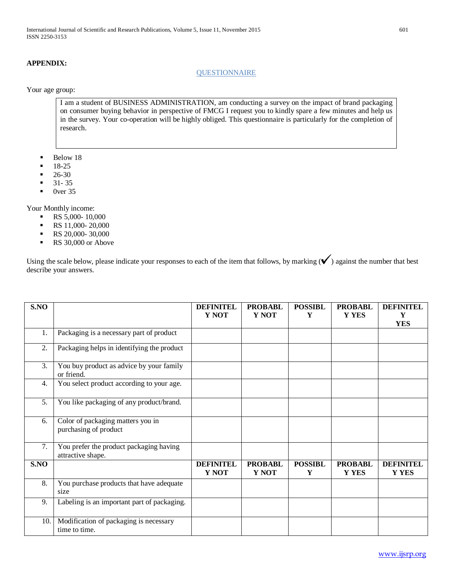# **APPENDIX:**

# **QUESTIONNAIRE**

Your age group:

I am a student of BUSINESS ADMINISTRATION, am conducting a survey on the impact of brand packaging on consumer buying behavior in perspective of FMCG I request you to kindly spare a few minutes and help us in the survey. Your co-operation will be highly obliged. This questionnaire is particularly for the completion of research.

- $\blacksquare$  Below 18
- 18-25
- 26-30
- $-31-35$
- $\bullet$  0ver 35

Your Monthly income:

- $\text{RS } 5,000 10,000$
- $\text{RS } 11,000 20,000$
- $\text{RS } 20,000 30,000$
- RS 30,000 or Above

Using the scale below, please indicate your responses to each of the item that follows, by marking  $(\checkmark)$  against the number that best describe your answers.

| S.NO |                                                              | <b>DEFINITEL</b><br>Y NOT | <b>PROBABL</b><br>Y NOT        | <b>POSSIBL</b><br>Y | <b>PROBABL</b><br>Y YES | <b>DEFINITEL</b><br>Y            |
|------|--------------------------------------------------------------|---------------------------|--------------------------------|---------------------|-------------------------|----------------------------------|
|      |                                                              |                           |                                |                     |                         | <b>YES</b>                       |
| 1.   | Packaging is a necessary part of product                     |                           |                                |                     |                         |                                  |
| 2.   | Packaging helps in identifying the product                   |                           |                                |                     |                         |                                  |
| 3.   | You buy product as advice by your family<br>or friend.       |                           |                                |                     |                         |                                  |
| 4.   | You select product according to your age.                    |                           |                                |                     |                         |                                  |
| 5.   | You like packaging of any product/brand.                     |                           |                                |                     |                         |                                  |
| 6.   | Color of packaging matters you in<br>purchasing of product   |                           |                                |                     |                         |                                  |
| 7.   | You prefer the product packaging having<br>attractive shape. |                           |                                |                     |                         |                                  |
| S.NO |                                                              | <b>DEFINITEL</b><br>Y NOT | <b>PROBABL</b><br><b>Y NOT</b> | <b>POSSIBL</b><br>Y | <b>PROBABL</b><br>Y YES | <b>DEFINITEL</b><br><b>Y YES</b> |
| 8.   | You purchase products that have adequate<br>size             |                           |                                |                     |                         |                                  |
| 9.   | Labeling is an important part of packaging.                  |                           |                                |                     |                         |                                  |
| 10.  | Modification of packaging is necessary<br>time to time.      |                           |                                |                     |                         |                                  |